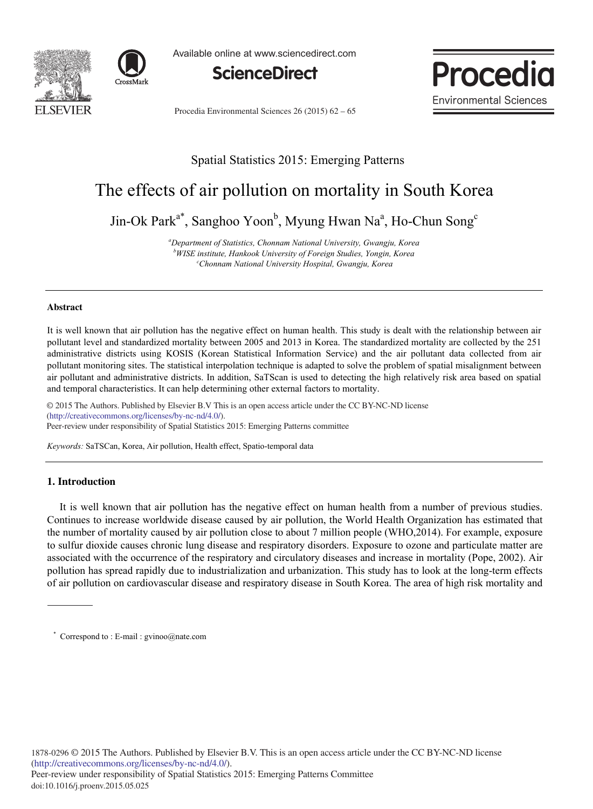



Available online at www.sciencedirect.com



Procedia Environmental Sciences 26 (2015) 62 – 65



# Spatial Statistics 2015: Emerging Patterns

# The effects of air pollution on mortality in South Korea

Jin-Ok Park<sup>a\*</sup>, Sanghoo Yoon<sup>b</sup>, Myung Hwan Na<sup>a</sup>, Ho-Chun Song<sup>e</sup>

*a Department of Statistics, Chonnam National University, Gwangju, Korea*  **b**WISE institute, Hankook University of Foreign Studies, Yongin, Korea *WISE institute, Hankook University of Foreign Studies, Yongin, Korea cChonnam National University Hospital, Gwangju, Korea* 

#### **Abstract**

It is well known that air pollution has the negative effect on human health. This study is dealt with the relationship between air pollutant level and standardized mortality between 2005 and 2013 in Korea. The standardized mortality are collected by the 251 administrative districts using KOSIS (Korean Statistical Information Service) and the air pollutant data collected from air pollutant monitoring sites. The statistical interpolation technique is adapted to solve the problem of spatial misalignment between air pollutant and administrative districts. In addition, SaTScan is used to detecting the high relatively risk area based on spatial and temporal characteristics. It can help determining other external factors to mortality.

© 2015 The Authors. Published by Elsevier B.V. (http://creativecommons.org/licenses/by-nc-nd/4.0/). Peer-review under responsibility of Spatial Statistics 2015: Emerging Patterns committee © 2015 The Authors. Published by Elsevier B.V This is an open access article under the CC BY-NC-ND license

*Keywords:* SaTSCan, Korea, Air pollution, Health effect, Spatio-temporal data

# **1. Introduction**

It is well known that air pollution has the negative effect on human health from a number of previous studies. Continues to increase worldwide disease caused by air pollution, the World Health Organization has estimated that the number of mortality caused by air pollution close to about 7 million people (WHO,2014). For example, exposure to sulfur dioxide causes chronic lung disease and respiratory disorders. Exposure to ozone and particulate matter are associated with the occurrence of the respiratory and circulatory diseases and increase in mortality (Pope, 2002). Air pollution has spread rapidly due to industrialization and urbanization. This study has to look at the long-term effects of air pollution on cardiovascular disease and respiratory disease in South Korea. The area of high risk mortality and

<sup>\*</sup> Correspond to : E-mail : gvinoo@nate.com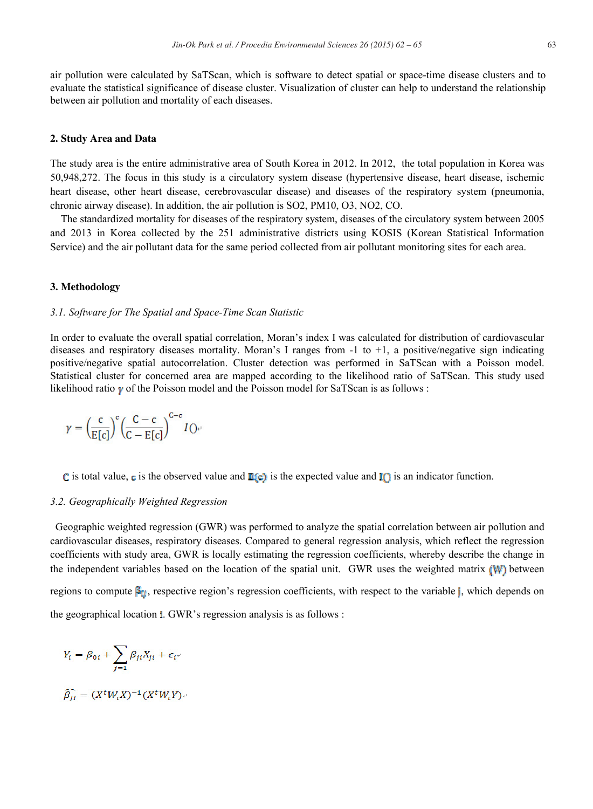air pollution were calculated by SaTScan, which is software to detect spatial or space-time disease clusters and to evaluate the statistical significance of disease cluster. Visualization of cluster can help to understand the relationship between air pollution and mortality of each diseases.

#### **2. Study Area and Data**

The study area is the entire administrative area of South Korea in 2012. In 2012, the total population in Korea was 50,948,272. The focus in this study is a circulatory system disease (hypertensive disease, heart disease, ischemic heart disease, other heart disease, cerebrovascular disease) and diseases of the respiratory system (pneumonia, chronic airway disease). In addition, the air pollution is SO2, PM10, O3, NO2, CO.

The standardized mortality for diseases of the respiratory system, diseases of the circulatory system between 2005 and 2013 in Korea collected by the 251 administrative districts using KOSIS (Korean Statistical Information Service) and the air pollutant data for the same period collected from air pollutant monitoring sites for each area.

#### **3. Methodology**

#### *3.1. Software for The Spatial and Space-Time Scan Statistic*

In order to evaluate the overall spatial correlation, Moran's index I was calculated for distribution of cardiovascular diseases and respiratory diseases mortality. Moran's I ranges from  $-1$  to  $+1$ , a positive/negative sign indicating positive/negative spatial autocorrelation. Cluster detection was performed in SaTScan with a Poisson model. Statistical cluster for concerned area are mapped according to the likelihood ratio of SaTScan. This study used likelihood ratio  $\gamma$  of the Poisson model and the Poisson model for SaTScan is as follows :

$$
\gamma = \left(\frac{c}{E[c]}\right)^c \left(\frac{C-c}{C-E[c]}\right)^{C-c} I\bigcirc
$$

C is total value, c is the observed value and  $\mathbb{E}[\mathbf{c}]$  is the expected value and  $\mathbb{I}(\cdot)$  is an indicator function.

#### *3.2. Geographically Weighted Regression*

Geographic weighted regression (GWR) was performed to analyze the spatial correlation between air pollution and cardiovascular diseases, respiratory diseases. Compared to general regression analysis, which reflect the regression coefficients with study area, GWR is locally estimating the regression coefficients, whereby describe the change in the independent variables based on the location of the spatial unit. GWR uses the weighted matrix (W) between regions to compute  $\mathbf{g}_{tt}$ , respective region's regression coefficients, with respect to the variable *j*, which depends on the geographical location  $\mathbf{i}$ . GWR's regression analysis is as follows :

$$
Y_i = \beta_{0i} + \sum_{j=1} \beta_{ji} X_{ji} + \epsilon_{i^{\nu}}
$$

$$
\widehat{\beta_{JI}} = (X^tW_iX)^{-1}(X^tW_iY)_{\tau'}
$$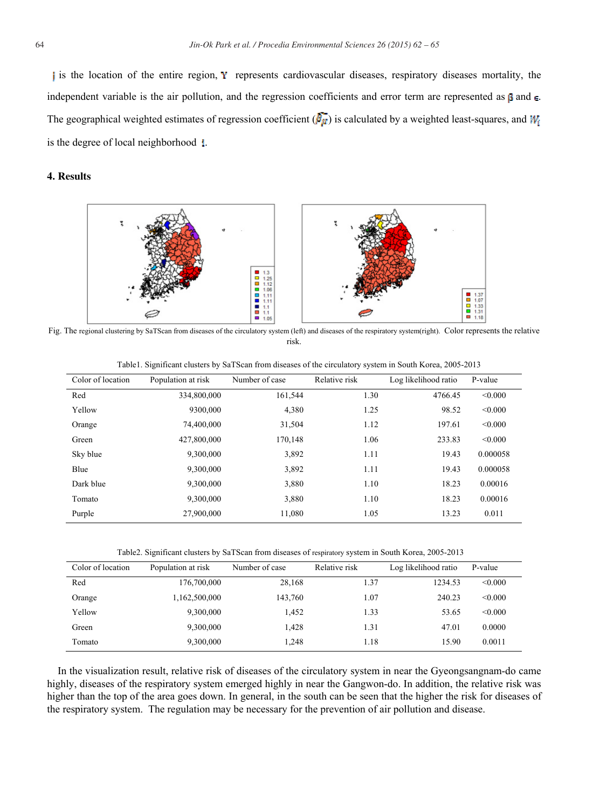is the location of the entire region, Y represents cardiovascular diseases, respiratory diseases mortality, the independent variable is the air pollution, and the regression coefficients and error term are represented as  $\beta$  and  $\epsilon$ . The geographical weighted estimates of regression coefficient  $(\bar{P}_M)$  is calculated by a weighted least-squares, and  $W_i$ is the degree of local neighborhood  $\pm$ .

# **4. Results**



Fig. The regional clustering by SaTScan from diseases of the circulatory system (left) and diseases of the respiratory system(right). Color represents the relative risk.

| Color of location | Population at risk | Number of case | Relative risk | Log likelihood ratio | P-value  |
|-------------------|--------------------|----------------|---------------|----------------------|----------|
| Red               | 334,800,000        | 161,544        | 1.30          | 4766.45              | < 0.000  |
| Yellow            | 9300.000           | 4,380          | 1.25          | 98.52                | < 0.000  |
| Orange            | 74,400,000         | 31,504         | 1.12          | 197.61               | < 0.000  |
| Green             | 427,800,000        | 170.148        | 1.06          | 233.83               | < 0.000  |
| Sky blue          | 9,300,000          | 3,892          | 1.11          | 19.43                | 0.000058 |
| Blue              | 9,300,000          | 3,892          | 1.11          | 19.43                | 0.000058 |
| Dark blue         | 9,300,000          | 3,880          | 1.10          | 18.23                | 0.00016  |
| Tomato            | 9,300,000          | 3,880          | 1.10          | 18.23                | 0.00016  |
| Purple            | 27,900,000         | 11.080         | 1.05          | 13.23                | 0.011    |

Table1. Significant clusters by SaTScan from diseases of the circulatory system in South Korea, 2005-2013

Table2. Significant clusters by SaTScan from diseases of respiratory system in South Korea, 2005-2013

| Color of location | Population at risk | Number of case | Relative risk | Log likelihood ratio | P-value |
|-------------------|--------------------|----------------|---------------|----------------------|---------|
| Red               | 176,700,000        | 28,168         | 1.37          | 1234.53              | < 0.000 |
| Orange            | 1,162,500,000      | 143.760        | 1.07          | 240.23               | < 0.000 |
| Yellow            | 9,300,000          | 1.452          | 1.33          | 53.65                | < 0.000 |
| Green             | 9,300,000          | 1.428          | 1.31          | 47.01                | 0.0000  |
| Tomato            | 9,300,000          | 1.248          | 1.18          | 15.90                | 0.0011  |

In the visualization result, relative risk of diseases of the circulatory system in near the Gyeongsangnam-do came highly, diseases of the respiratory system emerged highly in near the Gangwon-do. In addition, the relative risk was higher than the top of the area goes down. In general, in the south can be seen that the higher the risk for diseases of the respiratory system. The regulation may be necessary for the prevention of air pollution and disease.